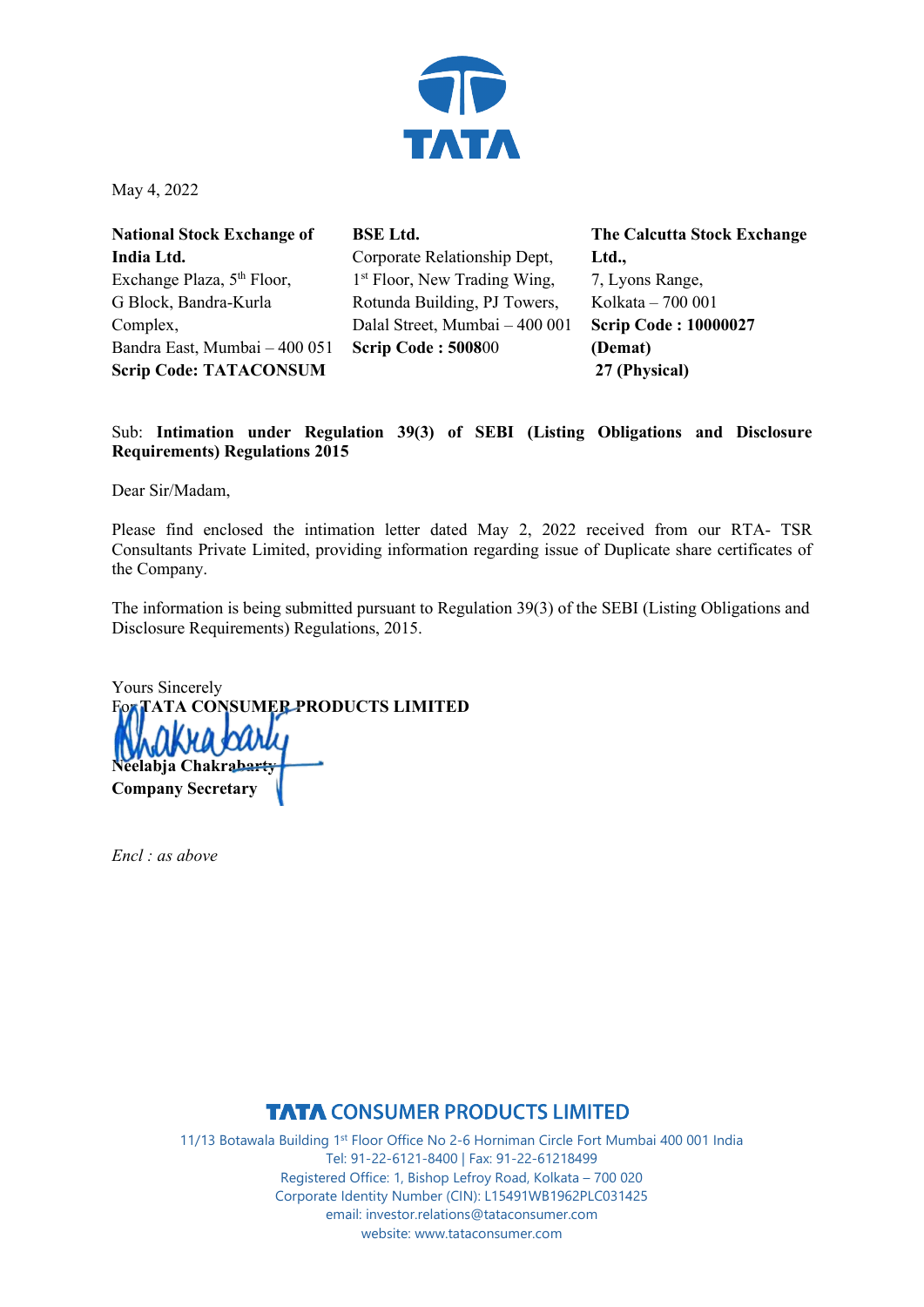

May 4, 2022

| <b>National Stock Exchange of</b> | <b>BSE</b> Ltd.                          | <b>The Calcutta Stock Exchange</b> |
|-----------------------------------|------------------------------------------|------------------------------------|
| India Ltd.                        | Corporate Relationship Dept,             | Ltd.,                              |
| Exchange Plaza, $5th$ Floor,      | 1 <sup>st</sup> Floor, New Trading Wing, | 7, Lyons Range,                    |
| G Block, Bandra-Kurla             | Rotunda Building, PJ Towers,             | Kolkata - 700 001                  |
| Complex,                          | Dalal Street, Mumbai - 400 001           | <b>Scrip Code: 10000027</b>        |
| Bandra East, Mumbai - 400 051     | <b>Scrip Code: 500800</b>                | (Demat)                            |
| <b>Scrip Code: TATACONSUM</b>     |                                          | 27 (Physical)                      |

Sub: **Intimation under Regulation 39(3) of SEBI (Listing Obligations and Disclosure Requirements) Regulations 2015** 

Dear Sir/Madam,

Please find enclosed the intimation letter dated May 2, 2022 received from our RTA- TSR Consultants Private Limited, providing information regarding issue of Duplicate share certificates of the Company.

The information is being submitted pursuant to Regulation 39(3) of the SEBI (Listing Obligations and Disclosure Requirements) Regulations, 2015.

Yours Sincerely For **TATA CONSUMER PRODUCTS LIMITED Neelabja Chakrabarty Company Secretary** 

*Encl : as above* 

## **TATA CONSUMER PRODUCTS LIMITED**

11/13 Botawala Building 1st Floor Office No 2-6 Horniman Circle Fort Mumbai 400 001 India Tel: 91-22-6121-8400 | Fax: 91-22-61218499 Registered Office: 1, Bishop Lefroy Road, Kolkata – 700 020 Corporate Identity Number (CIN): L15491WB1962PLC031425 email: investor.relations@tataconsumer.com website: www.tataconsumer.com